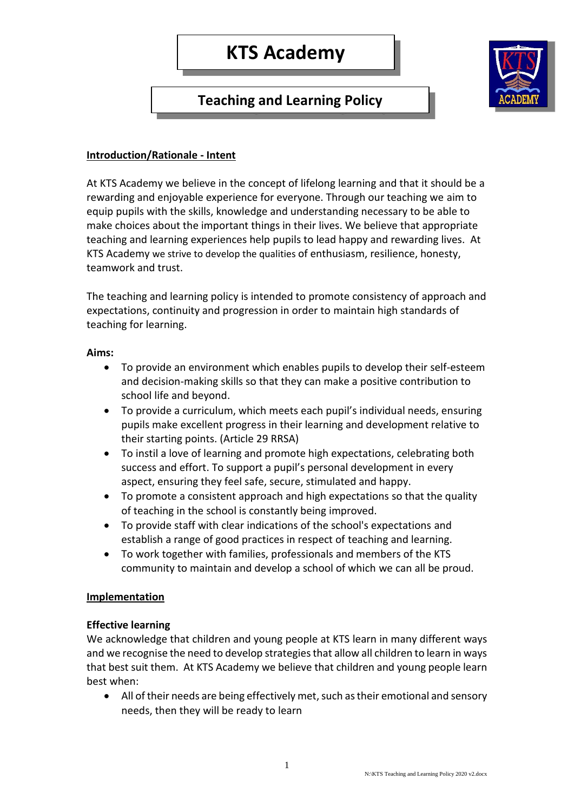# **Teaching and Learning Policy**



# **Introduction/Rationale - Intent**

At KTS Academy we believe in the concept of lifelong learning and that it should be a rewarding and enjoyable experience for everyone. Through our teaching we aim to equip pupils with the skills, knowledge and understanding necessary to be able to make choices about the important things in their lives. We believe that appropriate teaching and learning experiences help pupils to lead happy and rewarding lives. At KTS Academy we strive to develop the qualities of enthusiasm, resilience, honesty, teamwork and trust.

The teaching and learning policy is intended to promote consistency of approach and expectations, continuity and progression in order to maintain high standards of teaching for learning.

## **Aims:**

- To provide an environment which enables pupils to develop their self-esteem and decision-making skills so that they can make a positive contribution to school life and beyond.
- To provide a curriculum, which meets each pupil's individual needs, ensuring pupils make excellent progress in their learning and development relative to their starting points. (Article 29 RRSA)
- To instil a love of learning and promote high expectations, celebrating both success and effort. To support a pupil's personal development in every aspect, ensuring they feel safe, secure, stimulated and happy.
- To promote a consistent approach and high expectations so that the quality of teaching in the school is constantly being improved.
- To provide staff with clear indications of the school's expectations and establish a range of good practices in respect of teaching and learning.
- To work together with families, professionals and members of the KTS community to maintain and develop a school of which we can all be proud.

#### **Implementation**

## **Effective learning**

We acknowledge that children and young people at KTS learn in many different ways and we recognise the need to develop strategies that allow all children to learn in ways that best suit them. At KTS Academy we believe that children and young people learn best when:

• All of their needs are being effectively met, such as their emotional and sensory needs, then they will be ready to learn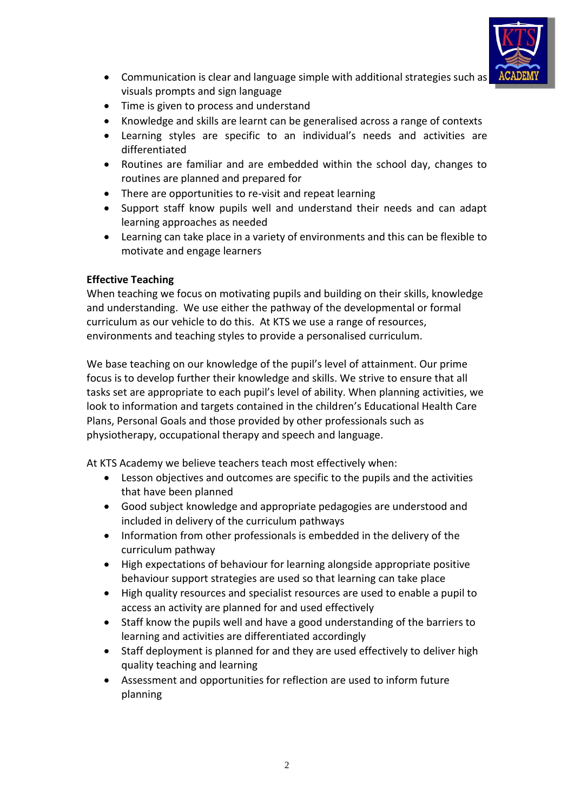

- Communication is clear and language simple with additional strategies such as visuals prompts and sign language
- Time is given to process and understand
- Knowledge and skills are learnt can be generalised across a range of contexts
- Learning styles are specific to an individual's needs and activities are differentiated
- Routines are familiar and are embedded within the school day, changes to routines are planned and prepared for
- There are opportunities to re-visit and repeat learning
- Support staff know pupils well and understand their needs and can adapt learning approaches as needed
- Learning can take place in a variety of environments and this can be flexible to motivate and engage learners

## **Effective Teaching**

When teaching we focus on motivating pupils and building on their skills, knowledge and understanding. We use either the pathway of the developmental or formal curriculum as our vehicle to do this. At KTS we use a range of resources, environments and teaching styles to provide a personalised curriculum.

We base teaching on our knowledge of the pupil's level of attainment. Our prime focus is to develop further their knowledge and skills. We strive to ensure that all tasks set are appropriate to each pupil's level of ability. When planning activities, we look to information and targets contained in the children's Educational Health Care Plans, Personal Goals and those provided by other professionals such as physiotherapy, occupational therapy and speech and language.

At KTS Academy we believe teachers teach most effectively when:

- Lesson objectives and outcomes are specific to the pupils and the activities that have been planned
- Good subject knowledge and appropriate pedagogies are understood and included in delivery of the curriculum pathways
- Information from other professionals is embedded in the delivery of the curriculum pathway
- High expectations of behaviour for learning alongside appropriate positive behaviour support strategies are used so that learning can take place
- High quality resources and specialist resources are used to enable a pupil to access an activity are planned for and used effectively
- Staff know the pupils well and have a good understanding of the barriers to learning and activities are differentiated accordingly
- Staff deployment is planned for and they are used effectively to deliver high quality teaching and learning
- Assessment and opportunities for reflection are used to inform future planning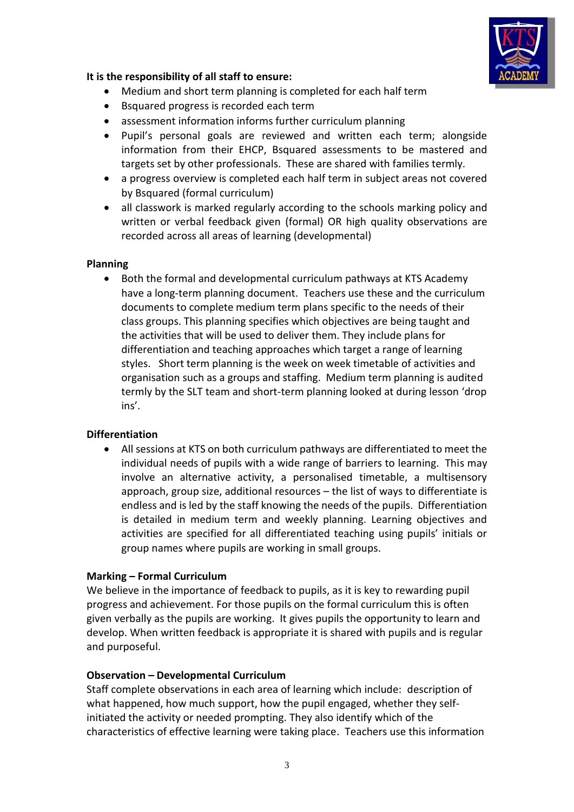

## **It is the responsibility of all staff to ensure:**

- Medium and short term planning is completed for each half term
- Bsquared progress is recorded each term
- assessment information informs further curriculum planning
- Pupil's personal goals are reviewed and written each term; alongside information from their EHCP, Bsquared assessments to be mastered and targets set by other professionals. These are shared with families termly.
- a progress overview is completed each half term in subject areas not covered by Bsquared (formal curriculum)
- all classwork is marked regularly according to the schools marking policy and written or verbal feedback given (formal) OR high quality observations are recorded across all areas of learning (developmental)

#### **Planning**

• Both the formal and developmental curriculum pathways at KTS Academy have a long-term planning document. Teachers use these and the curriculum documents to complete medium term plans specific to the needs of their class groups. This planning specifies which objectives are being taught and the activities that will be used to deliver them. They include plans for differentiation and teaching approaches which target a range of learning styles. Short term planning is the week on week timetable of activities and organisation such as a groups and staffing. Medium term planning is audited termly by the SLT team and short-term planning looked at during lesson 'drop ins'.

#### **Differentiation**

• All sessions at KTS on both curriculum pathways are differentiated to meet the individual needs of pupils with a wide range of barriers to learning. This may involve an alternative activity, a personalised timetable, a multisensory approach, group size, additional resources – the list of ways to differentiate is endless and is led by the staff knowing the needs of the pupils. Differentiation is detailed in medium term and weekly planning. Learning objectives and activities are specified for all differentiated teaching using pupils' initials or group names where pupils are working in small groups.

#### **Marking – Formal Curriculum**

We believe in the importance of feedback to pupils, as it is key to rewarding pupil progress and achievement. For those pupils on the formal curriculum this is often given verbally as the pupils are working. It gives pupils the opportunity to learn and develop. When written feedback is appropriate it is shared with pupils and is regular and purposeful.

#### **Observation – Developmental Curriculum**

Staff complete observations in each area of learning which include: description of what happened, how much support, how the pupil engaged, whether they selfinitiated the activity or needed prompting. They also identify which of the characteristics of effective learning were taking place. Teachers use this information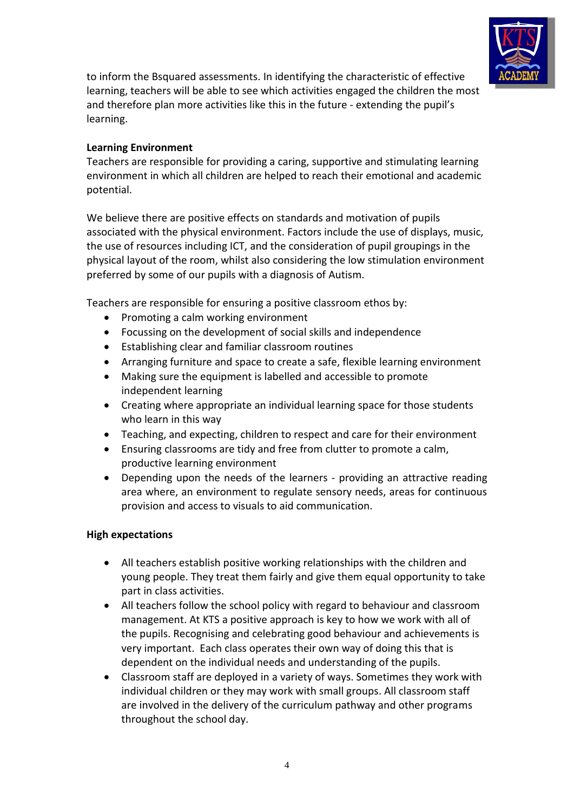

to inform the Bsquared assessments. In identifying the characteristic of effective learning, teachers will be able to see which activities engaged the children the most and therefore plan more activities like this in the future - extending the pupil's learning.

# **Learning Environment**

Teachers are responsible for providing a caring, supportive and stimulating learning environment in which all children are helped to reach their emotional and academic potential.

We believe there are positive effects on standards and motivation of pupils associated with the physical environment. Factors include the use of displays, music, the use of resources including ICT, and the consideration of pupil groupings in the physical layout of the room, whilst also considering the low stimulation environment preferred by some of our pupils with a diagnosis of Autism.

Teachers are responsible for ensuring a positive classroom ethos by:

- Promoting a calm working environment
- Focussing on the development of social skills and independence
- Establishing clear and familiar classroom routines
- Arranging furniture and space to create a safe, flexible learning environment
- Making sure the equipment is labelled and accessible to promote independent learning
- Creating where appropriate an individual learning space for those students who learn in this way
- Teaching, and expecting, children to respect and care for their environment
- Ensuring classrooms are tidy and free from clutter to promote a calm, productive learning environment
- Depending upon the needs of the learners providing an attractive reading area where, an environment to regulate sensory needs, areas for continuous provision and access to visuals to aid communication.

## **High expectations**

- All teachers establish positive working relationships with the children and young people. They treat them fairly and give them equal opportunity to take part in class activities.
- All teachers follow the school policy with regard to behaviour and classroom management. At KTS a positive approach is key to how we work with all of the pupils. Recognising and celebrating good behaviour and achievements is very important. Each class operates their own way of doing this that is dependent on the individual needs and understanding of the pupils.
- Classroom staff are deployed in a variety of ways. Sometimes they work with individual children or they may work with small groups. All classroom staff are involved in the delivery of the curriculum pathway and other programs throughout the school day.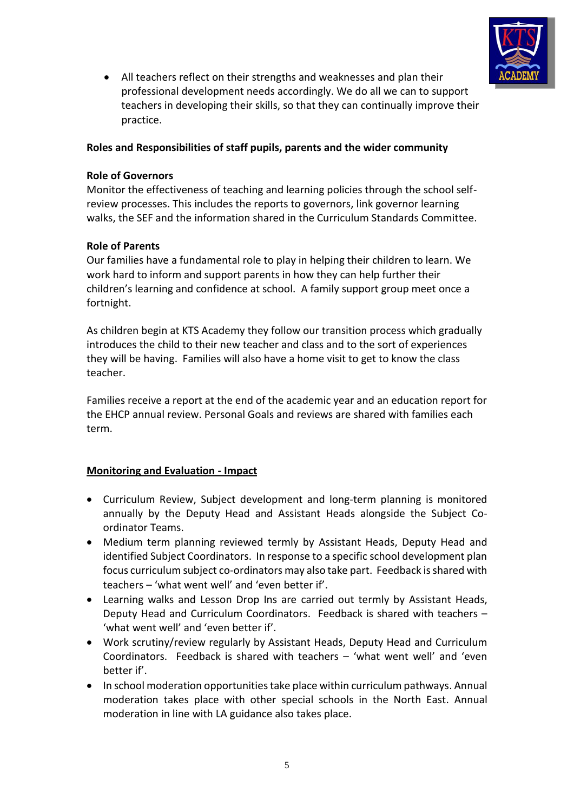

• All teachers reflect on their strengths and weaknesses and plan their professional development needs accordingly. We do all we can to support teachers in developing their skills, so that they can continually improve their practice.

# **Roles and Responsibilities of staff pupils, parents and the wider community**

## **Role of Governors**

Monitor the effectiveness of teaching and learning policies through the school selfreview processes. This includes the reports to governors, link governor learning walks, the SEF and the information shared in the Curriculum Standards Committee.

# **Role of Parents**

Our families have a fundamental role to play in helping their children to learn. We work hard to inform and support parents in how they can help further their children's learning and confidence at school. A family support group meet once a fortnight.

As children begin at KTS Academy they follow our transition process which gradually introduces the child to their new teacher and class and to the sort of experiences they will be having. Families will also have a home visit to get to know the class teacher.

Families receive a report at the end of the academic year and an education report for the EHCP annual review. Personal Goals and reviews are shared with families each term.

# **Monitoring and Evaluation - Impact**

- Curriculum Review, Subject development and long-term planning is monitored annually by the Deputy Head and Assistant Heads alongside the Subject Coordinator Teams.
- Medium term planning reviewed termly by Assistant Heads, Deputy Head and identified Subject Coordinators. In response to a specific school development plan focus curriculum subject co-ordinators may also take part. Feedback is shared with teachers – 'what went well' and 'even better if'.
- Learning walks and Lesson Drop Ins are carried out termly by Assistant Heads, Deputy Head and Curriculum Coordinators. Feedback is shared with teachers – 'what went well' and 'even better if'.
- Work scrutiny/review regularly by Assistant Heads, Deputy Head and Curriculum Coordinators. Feedback is shared with teachers – 'what went well' and 'even better if'.
- In school moderation opportunities take place within curriculum pathways. Annual moderation takes place with other special schools in the North East. Annual moderation in line with LA guidance also takes place.